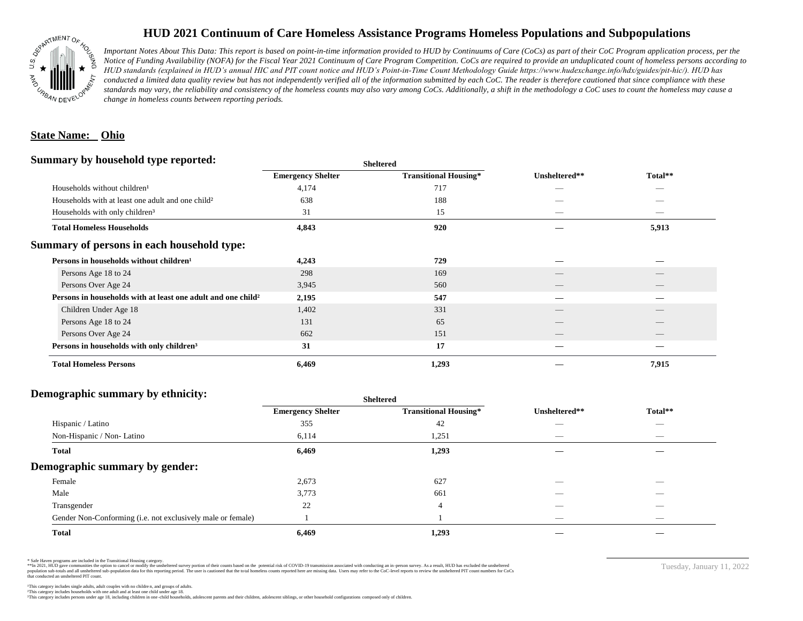

# **HUD 2021 Continuum of Care Homeless Assistance Programs Homeless Populations and Subpopulations**

*Important Notes About This Data: This report is based on point-in-time information provided to HUD by Continuums of Care (CoCs) as part of their CoC Program application process, per the Notice of Funding Availability (NOFA) for the Fiscal Year 2021 Continuum of Care Program Competition. CoCs are required to provide an unduplicated count of homeless persons according to HUD standards (explained in HUD's annual HIC and PIT count notice and HUD's Point-in-Time Count Methodology Guide https://www.hudexchange.info/hdx/guides/pit-hic/). HUD has*  conducted a limited data quality review but has not independently verified all of the information submitted by each CoC. The reader is therefore cautioned that since compliance with these standards may vary, the reliability and consistency of the homeless counts may also vary among CoCs. Additionally, a shift in the methodology a CoC uses to count the homeless may cause a *change in homeless counts between reporting periods.*

### **State Name: Ohio**

#### **Summary by household type reported:**

| эшппагу бу поизеною туре герогіест.                           |                          | <b>Sheltered</b>             |               |         |
|---------------------------------------------------------------|--------------------------|------------------------------|---------------|---------|
|                                                               | <b>Emergency Shelter</b> | <b>Transitional Housing*</b> | Unsheltered** | Total** |
| Households without children <sup>1</sup>                      | 4,174                    | 717                          |               |         |
| Households with at least one adult and one child <sup>2</sup> | 638                      | 188                          |               |         |
| Households with only children <sup>3</sup>                    | 31                       | 15                           |               |         |
| <b>Total Homeless Households</b>                              | 4,843                    | 920                          |               | 5,913   |
| Summary of persons in each household type:                    |                          |                              |               |         |
| Persons in households without children <sup>1</sup>           | 4,243                    | 729                          |               |         |
| Persons Age 18 to 24                                          | 298                      | 169                          |               |         |
| Persons Over Age 24                                           | 3,945                    | 560                          |               |         |
| Persons in households with at least one adult and one child?  | 2,195                    | 547                          |               |         |
| Children Under Age 18                                         | 1,402                    | 331                          | __            |         |
| Persons Age 18 to 24                                          | 131                      | 65                           |               |         |
| Persons Over Age 24                                           | 662                      | 151                          |               |         |
| Persons in households with only children <sup>3</sup>         | 31                       | 17                           |               |         |
| <b>Total Homeless Persons</b>                                 | 6,469                    | 1,293                        |               | 7,915   |

## **Demographic summary by ethnicity:**

| ັ<br>. .<br>$\bullet$<br>$\ddot{\phantom{1}}$<br>$\bullet$  | Sneitered                |                              |                                 |                                 |
|-------------------------------------------------------------|--------------------------|------------------------------|---------------------------------|---------------------------------|
|                                                             | <b>Emergency Shelter</b> | <b>Transitional Housing*</b> | Unsheltered**                   | Total**                         |
| Hispanic / Latino                                           | 355                      | 42                           | _                               | $\overbrace{\hspace{25mm}}^{}$  |
| Non-Hispanic / Non-Latino                                   | 6,114                    | 1,251                        | $\hspace{0.1mm}-\hspace{0.1mm}$ | $\hspace{0.1mm}-\hspace{0.1mm}$ |
| <b>Total</b>                                                | 6,469                    | 1,293                        |                                 |                                 |
| Demographic summary by gender:                              |                          |                              |                                 |                                 |
| Female                                                      | 2,673                    | 627                          | ___                             | $\overline{\phantom{a}}$        |
| Male                                                        | 3,773                    | 661                          | __                              |                                 |
| Transgender                                                 | 22                       | $\overline{4}$               | $\hspace{0.05cm}$               | $\overbrace{\hspace{25mm}}^{}$  |
| Gender Non-Conforming (i.e. not exclusively male or female) |                          |                              | $\hspace{0.1mm}-\hspace{0.1mm}$ | $\overbrace{\hspace{25mm}}^{}$  |
| <b>Total</b>                                                | 6,469                    | 1,293                        |                                 |                                 |

**Sheltered**

\* Safe Haven programs are included in the Transitional Housing category.

\*\*In 2021, HUD gave communities the option to cancel or modify the unsheltered survey portion of their counts based on the potential risk of COVID-19 transmission associated with conducting an in-person survey. As a result n political data for this reporting period. The user is cautioned that the total homeless counts reported here are missing data. Users may refer to the CoC-level reports to review the unshellered PIT count numbers for CoCs that conducted an unsheltered PIT count.